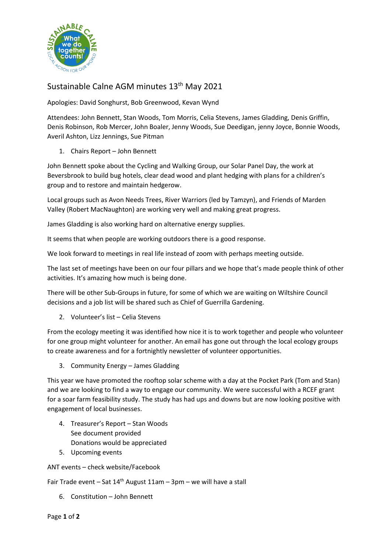

## Sustainable Calne AGM minutes 13<sup>th</sup> May 2021

Apologies: David Songhurst, Bob Greenwood, Kevan Wynd

Attendees: John Bennett, Stan Woods, Tom Morris, Celia Stevens, James Gladding, Denis Griffin, Denis Robinson, Rob Mercer, John Boaler, Jenny Woods, Sue Deedigan, jenny Joyce, Bonnie Woods, Averil Ashton, Lizz Jennings, Sue Pitman

1. Chairs Report – John Bennett

John Bennett spoke about the Cycling and Walking Group, our Solar Panel Day, the work at Beversbrook to build bug hotels, clear dead wood and plant hedging with plans for a children's group and to restore and maintain hedgerow.

Local groups such as Avon Needs Trees, River Warriors (led by Tamzyn), and Friends of Marden Valley (Robert MacNaughton) are working very well and making great progress.

James Gladding is also working hard on alternative energy supplies.

It seems that when people are working outdoors there is a good response.

We look forward to meetings in real life instead of zoom with perhaps meeting outside.

The last set of meetings have been on our four pillars and we hope that's made people think of other activities. It's amazing how much is being done.

There will be other Sub-Groups in future, for some of which we are waiting on Wiltshire Council decisions and a job list will be shared such as Chief of Guerrilla Gardening.

2. Volunteer's list – Celia Stevens

From the ecology meeting it was identified how nice it is to work together and people who volunteer for one group might volunteer for another. An email has gone out through the local ecology groups to create awareness and for a fortnightly newsletter of volunteer opportunities.

3. Community Energy – James Gladding

This year we have promoted the rooftop solar scheme with a day at the Pocket Park (Tom and Stan) and we are looking to find a way to engage our community. We were successful with a RCEF grant for a soar farm feasibility study. The study has had ups and downs but are now looking positive with engagement of local businesses.

- 4. Treasurer's Report Stan Woods See document provided Donations would be appreciated
- 5. Upcoming events

ANT events – check website/Facebook

Fair Trade event – Sat  $14<sup>th</sup>$  August  $11am - 3pm -$  we will have a stall

6. Constitution – John Bennett